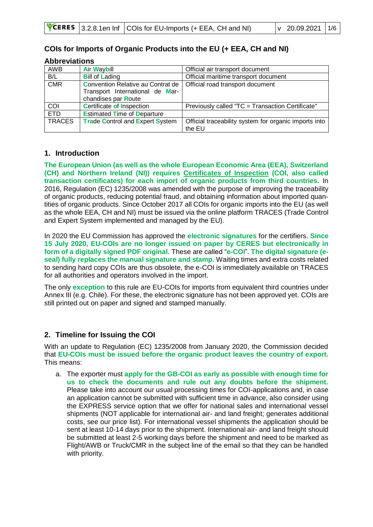## COIs for Imports of Organic Products into the EU (+ EEA, CH and NI)

### **Abbreviations**

| AWB           | <b>Air Waybill</b>                                                                                 | Official air transport document                                 |  |
|---------------|----------------------------------------------------------------------------------------------------|-----------------------------------------------------------------|--|
| B/L           | <b>Bill of Lading</b>                                                                              | Official maritime transport document                            |  |
| <b>CMR</b>    | <b>Convention Relative au Contrat de</b><br>Transport International de Mar-<br>chandises par Route | Official road transport document                                |  |
| COI           | <b>Certificate of Inspection</b>                                                                   | Previously called "TC = Transaction Certificate"                |  |
| <b>ETD</b>    | <b>Estimated Time of Departure</b>                                                                 |                                                                 |  |
| <b>TRACES</b> | <b>Trade Control and Expert System</b>                                                             | Official traceability system for organic imports into<br>the EU |  |

## 1. Introduction

The European Union (as well as the whole European Economic Area (EEA), Switzerland (CH) and Northern Ireland (NI)) requires Certificates of Inspection (COI, also called transaction certificates) for each import of organic products from third countries. In 2016. Regulation (EC) 1235/2008 was amended with the purpose of improving the traceability of organic products, reducing potential fraud, and obtaining information about imported quantities of organic products. Since October 2017 all COIs for organic imports into the EU (as well as the whole EEA, CH and NI) must be issued via the online platform TRACES (Trade Control and Expert System implemented and managed by the EU).

In 2020 the EU Commission has approved the electronic signatures for the certifiers. Since 15 July 2020. EU-COIs are no longer issued on paper by CERES but electronically in form of a digitally signed PDF original. These are called "e-COI". The digital signature (eseal) fully replaces the manual signature and stamp. Waiting times and extra costs related to sending hard copy COIs are thus obsolete, the e-COI is immediately available on TRACES for all authorities and operators involved in the import.

The only exception to this rule are EU-COIs for imports from equivalent third countries under Annex III (e.g. Chile). For these, the electronic signature has not been approved yet. COIs are still printed out on paper and signed and stamped manually.

## 2. Timeline for Issuing the COI

With an update to Regulation (EC) 1235/2008 from January 2020, the Commission decided that EU-COIs must be issued before the organic product leaves the country of export. This means:

a. The exporter must apply for the GB-COI as early as possible with enough time for us to check the documents and rule out any doubts before the shipment. Please take into account our usual processing times for COI-applications and, in case an application cannot be submitted with sufficient time in advance, also consider using the EXPRESS service option that we offer for national sales and international vessel shipments (NOT applicable for international air- and land freight; generates additional costs, see our price list). For international vessel shipments the application should be sent at least 10-14 days prior to the shipment. International air- and land freight should be submitted at least 2-5 working days before the shipment and need to be marked as Flight/AWB or Truck/CMR in the subject line of the email so that they can be handled with priority.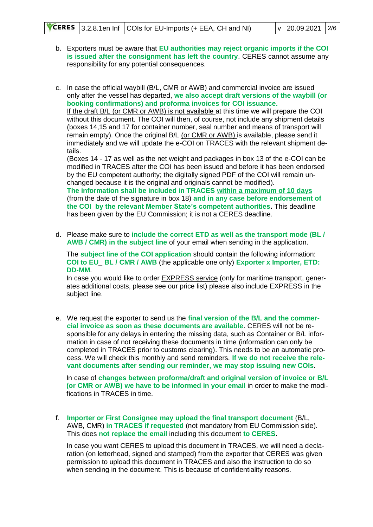- b. Exporters must be aware that **EU authorities may reject organic imports if the COI is issued after the consignment has left the country**. CERES cannot assume any responsibility for any potential consequences.
- c. In case the official waybill (B/L, CMR or AWB) and commercial invoice are issued only after the vessel has departed, **we also accept draft versions of the waybill (or booking confirmations) and proforma invoices for COI issuance.** If the draft B/L (or CMR or AWB) is not available at this time we will prepare the COI without this document. The COI will then, of course, not include any shipment details (boxes 14,15 and 17 for container number, seal number and means of transport will remain empty). Once the original B/L (or CMR or AWB) is available, please send it immediately and we will update the e-COI on TRACES with the relevant shipment details.

(Boxes 14 - 17 as well as the net weight and packages in box 13 of the e-COI can be modified in TRACES after the COI has been issued and before it has been endorsed by the EU competent authority; the digitally signed PDF of the COI will remain unchanged because it is the original and originals cannot be modified).

**The information shall be included in TRACES within a maximum of 10 days** (from the date of the signature in box 18) **and in any case before endorsement of the COI by the relevant Member State's competent authorities.** This deadline has been given by the EU Commission; it is not a CERES deadline.

d. Please make sure to **include the correct ETD as well as the transport mode (BL / AWB / CMR) in the subject line** of your email when sending in the application.

The **subject line of the COI application** should contain the following information: **COI to EU**\_ **BL / CMR / AWB** (the applicable one only) **Exporter x Importer, ETD: DD-MM**.

In case you would like to order EXPRESS service (only for maritime transport, generates additional costs, please see our price list) please also include EXPRESS in the subject line.

e. We request the exporter to send us the **final version of the B/L and the commercial invoice as soon as these documents are available**. CERES will not be responsible for any delays in entering the missing data, such as Container or B/L information in case of not receiving these documents in time (information can only be completed in TRACES prior to customs clearing). This needs to be an automatic process. We will check this monthly and send reminders. **If we do not receive the relevant documents after sending our reminder, we may stop issuing new COIs**.

In case of **changes between proforma/draft and original version of invoice or B/L (or CMR or AWB) we have to be informed in your email** in order to make the modifications in TRACES in time.

f. **Importer or First Consignee may upload the final transport document** (B/L, AWB, CMR) **in TRACES if requested** (not mandatory from EU Commission side). This does **not replace the email** including this document **to CERES**.

In case you want CERES to upload this document in TRACES, we will need a declaration (on letterhead, signed and stamped) from the exporter that CERES was given permission to upload this document in TRACES and also the instruction to do so when sending in the document. This is because of confidentiality reasons.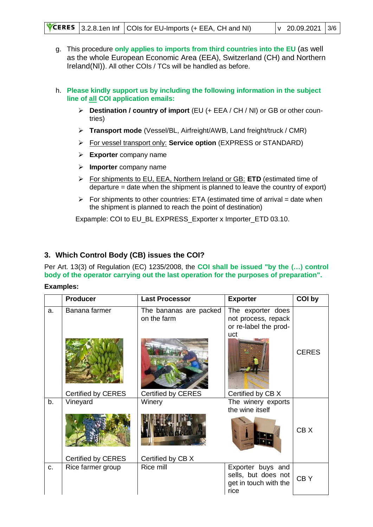g. This procedure **only applies to imports from third countries into the EU** (as well as the whole European Economic Area (EEA), Switzerland (CH) and Northern Ireland(NI)). All other COIs / TCs will be handled as before.

## h. **Please kindly support us by including the following information in the subject line of all COI application emails:**

- ➢ **Destination / country of import** (EU (+ EEA / CH / NI) or GB or other countries)
- ➢ **Transport mode** (Vessel/BL, Airfreight/AWB, Land freight/truck / CMR)
- ➢ For vessel transport only: **Service option** (EXPRESS or STANDARD)
- ➢ **Exporter** company name
- ➢ **Importer** company name
- ➢ For shipments to EU, EEA, Northern Ireland or GB: **ETD** (estimated time of departure = date when the shipment is planned to leave the country of export)
- $\triangleright$  For shipments to other countries: ETA (estimated time of arrival = date when the shipment is planned to reach the point of destination)

Expample: COI to EU\_BL EXPRESS\_Exporter x Importer\_ETD 03.10.

# **3. Which Control Body (CB) issues the COI?**

Per Art. 13(3) of Regulation (EC) 1235/2008, the **COI shall be issued "by the (…) control body of the operator carrying out the last operation for the purposes of preparation".**

#### **Examples:**

|    | <b>Producer</b>           | <b>Last Processor</b>                 | <b>Exporter</b>                                                           | <b>COI by</b>   |
|----|---------------------------|---------------------------------------|---------------------------------------------------------------------------|-----------------|
| a. | Banana farmer             | The bananas are packed<br>on the farm | The exporter does<br>not process, repack<br>or re-label the prod-         |                 |
|    |                           |                                       | uct                                                                       | <b>CERES</b>    |
|    | Certified by CERES        | Certified by CERES                    | Certified by CB X                                                         |                 |
| b. | Vineyard                  | Winery                                | The winery exports<br>the wine itself                                     |                 |
|    |                           |                                       |                                                                           | CB <sub>X</sub> |
|    | <b>Certified by CERES</b> | Certified by CB X                     |                                                                           |                 |
| C. | Rice farmer group         | Rice mill                             | Exporter buys and<br>sells, but does not<br>get in touch with the<br>rice | CBY             |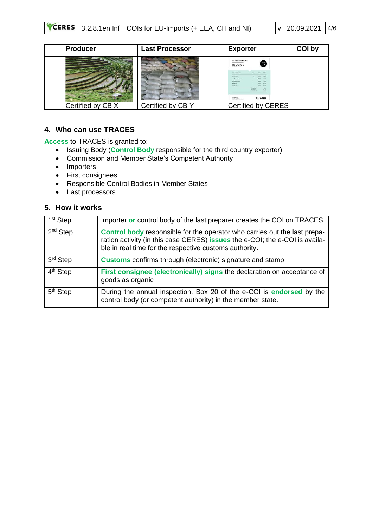| <b>Producer</b>   | <b>Last Processor</b> | <b>Exporter</b>                                                                                                             | <b>COI by</b> |  |
|-------------------|-----------------------|-----------------------------------------------------------------------------------------------------------------------------|---------------|--|
|                   |                       | <b>LETTERPRESS DESIGN</b><br><b>INVOICE</b><br><b>Number NL MORN</b>                                                        |               |  |
|                   |                       | <b>CIDA CONTRAPPORT</b><br>Altimi EVAN<br><b><i>Country Clocker</i></b><br>hinda Dandum interiora<br><b>GAS Painterman</b>  |               |  |
|                   |                       | <b>BrackA Future</b><br>The movement of the battle<br>T - EMAN - 19650<br>d lanzs<br><b>GENNE 79 TALL</b><br><b>Kingdom</b> |               |  |
|                   |                       | PECKEUP FOR<br><b>THANK</b><br>Smitsrie Dyes<br>Thistury's by manufacturers and                                             |               |  |
| Certified by CB X | Certified by CB Y     | Certified by CERES                                                                                                          |               |  |

## **4. Who can use TRACES**

**Access** to TRACES is granted to:

- Issuing Body (**Control Body** responsible for the third country exporter)
- Commission and Member State's Competent Authority
- Importers
- First consignees
- Responsible Control Bodies in Member States
- Last processors

# **5. How it works**

| 1 <sup>st</sup> Step     | Importer or control body of the last preparer creates the COI on TRACES.                                                                                                                                           |
|--------------------------|--------------------------------------------------------------------------------------------------------------------------------------------------------------------------------------------------------------------|
| $2nd$ Step               | Control body responsible for the operator who carries out the last prepa-<br>ration activity (in this case CERES) issues the e-COI; the e-COI is availa-<br>ble in real time for the respective customs authority. |
| 3 <sup>rd</sup> Step     | <b>Customs</b> confirms through (electronic) signature and stamp                                                                                                                                                   |
| $\overline{4^{th}}$ Step | First consignee (electronically) signs the declaration on acceptance of<br>goods as organic                                                                                                                        |
| $5th$ Step               | During the annual inspection, Box 20 of the e-COI is endorsed by the<br>control body (or competent authority) in the member state.                                                                                 |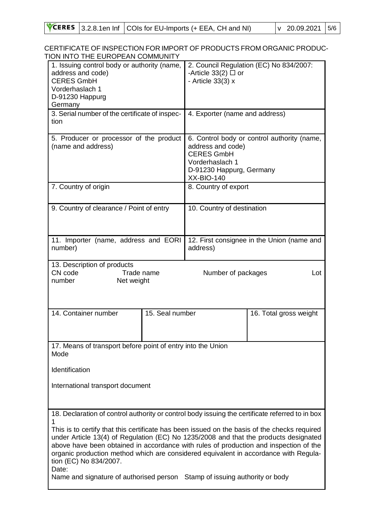|  |  |  | <b>YCERES</b> 3.2.8.1en Inf COIs for EU-Imports (+ EEA, CH and NI) |  | $\sqrt{6}$ 20.09.2021 5/6 |  |
|--|--|--|--------------------------------------------------------------------|--|---------------------------|--|
|--|--|--|--------------------------------------------------------------------|--|---------------------------|--|

# CERTIFICATE OF INSPECTION FOR IMPORT OF PRODUCTS FROM ORGANIC PRODUC-TION INTO THE EUROPEAN COMMUNITY

| 1. Issuing control body or authority (name,<br>address and code)<br><b>CERES GmbH</b><br>Vorderhaslach 1<br>D-91230 Happurg<br>Germany                                                                                                                                                                                                                                                                                                                                                                                                                                                    |                 | 2. Council Regulation (EC) No 834/2007:<br>-Article 33(2) $\Box$ or<br>- Article 33(3) x                                                           |                        |  |
|-------------------------------------------------------------------------------------------------------------------------------------------------------------------------------------------------------------------------------------------------------------------------------------------------------------------------------------------------------------------------------------------------------------------------------------------------------------------------------------------------------------------------------------------------------------------------------------------|-----------------|----------------------------------------------------------------------------------------------------------------------------------------------------|------------------------|--|
| 3. Serial number of the certificate of inspec-<br>tion                                                                                                                                                                                                                                                                                                                                                                                                                                                                                                                                    |                 | 4. Exporter (name and address)                                                                                                                     |                        |  |
| 5. Producer or processor of the product<br>(name and address)                                                                                                                                                                                                                                                                                                                                                                                                                                                                                                                             |                 | 6. Control body or control authority (name,<br>address and code)<br><b>CERES GmbH</b><br>Vorderhaslach 1<br>D-91230 Happurg, Germany<br>XX-BIO-140 |                        |  |
| 7. Country of origin                                                                                                                                                                                                                                                                                                                                                                                                                                                                                                                                                                      |                 | 8. Country of export                                                                                                                               |                        |  |
| 9. Country of clearance / Point of entry                                                                                                                                                                                                                                                                                                                                                                                                                                                                                                                                                  |                 | 10. Country of destination                                                                                                                         |                        |  |
| 11. Importer (name, address and EORI<br>number)                                                                                                                                                                                                                                                                                                                                                                                                                                                                                                                                           |                 | 12. First consignee in the Union (name and<br>address)                                                                                             |                        |  |
| 13. Description of products<br>CN code<br>Trade name<br>number<br>Net weight                                                                                                                                                                                                                                                                                                                                                                                                                                                                                                              |                 | Number of packages<br>Lot                                                                                                                          |                        |  |
| 14. Container number                                                                                                                                                                                                                                                                                                                                                                                                                                                                                                                                                                      | 15. Seal number |                                                                                                                                                    | 16. Total gross weight |  |
| 17. Means of transport before point of entry into the Union<br>Mode                                                                                                                                                                                                                                                                                                                                                                                                                                                                                                                       |                 |                                                                                                                                                    |                        |  |
| Identification                                                                                                                                                                                                                                                                                                                                                                                                                                                                                                                                                                            |                 |                                                                                                                                                    |                        |  |
| International transport document                                                                                                                                                                                                                                                                                                                                                                                                                                                                                                                                                          |                 |                                                                                                                                                    |                        |  |
| 18. Declaration of control authority or control body issuing the certificate referred to in box<br>This is to certify that this certificate has been issued on the basis of the checks required<br>under Article 13(4) of Regulation (EC) No 1235/2008 and that the products designated<br>above have been obtained in accordance with rules of production and inspection of the<br>organic production method which are considered equivalent in accordance with Regula-<br>tion (EC) No 834/2007.<br>Date:<br>Name and signature of authorised person Stamp of issuing authority or body |                 |                                                                                                                                                    |                        |  |